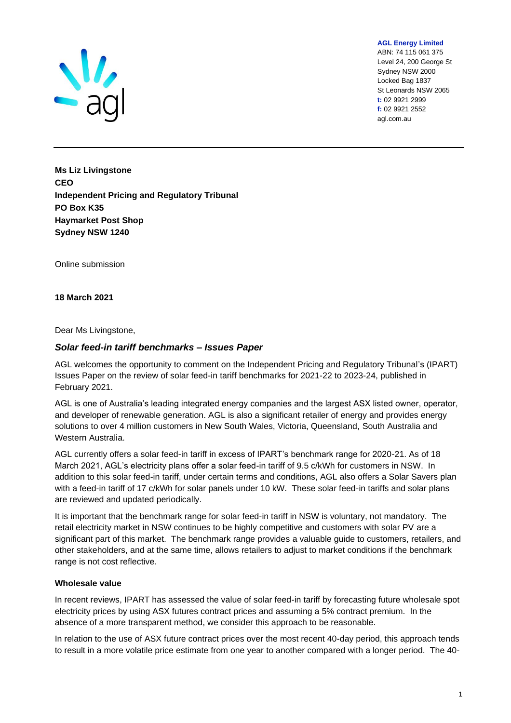

**AGL Energy Limited**

ABN: 74 115 061 375 Level 24, 200 George St Sydney NSW 2000 Locked Bag 1837 St Leonards NSW 2065 **t:** 02 9921 2999 **f:** 02 9921 2552 agl.com.au

**Ms Liz Livingstone CEO Independent Pricing and Regulatory Tribunal PO Box K35 Haymarket Post Shop Sydney NSW 1240**

Online submission

**18 March 2021** 

Dear Ms Livingstone,

## *Solar feed-in tariff benchmarks – Issues Paper*

AGL welcomes the opportunity to comment on the Independent Pricing and Regulatory Tribunal's (IPART) Issues Paper on the review of solar feed-in tariff benchmarks for 2021-22 to 2023-24, published in February 2021.

AGL is one of Australia's leading integrated energy companies and the largest ASX listed owner, operator, and developer of renewable generation. AGL is also a significant retailer of energy and provides energy solutions to over 4 million customers in New South Wales, Victoria, Queensland, South Australia and Western Australia.

AGL currently offers a solar feed-in tariff in excess of IPART's benchmark range for 2020-21. As of 18 March 2021, AGL's electricity plans offer a solar feed-in tariff of 9.5 c/kWh for customers in NSW. In addition to this solar feed-in tariff, under certain terms and conditions, AGL also offers a Solar Savers plan with a feed-in tariff of 17 c/kWh for solar panels under 10 kW. These solar feed-in tariffs and solar plans are reviewed and updated periodically.

It is important that the benchmark range for solar feed-in tariff in NSW is voluntary, not mandatory. The retail electricity market in NSW continues to be highly competitive and customers with solar PV are a significant part of this market. The benchmark range provides a valuable guide to customers, retailers, and other stakeholders, and at the same time, allows retailers to adjust to market conditions if the benchmark range is not cost reflective.

### **Wholesale value**

In recent reviews, IPART has assessed the value of solar feed-in tariff by forecasting future wholesale spot electricity prices by using ASX futures contract prices and assuming a 5% contract premium. In the absence of a more transparent method, we consider this approach to be reasonable.

In relation to the use of ASX future contract prices over the most recent 40-day period, this approach tends to result in a more volatile price estimate from one year to another compared with a longer period. The 40-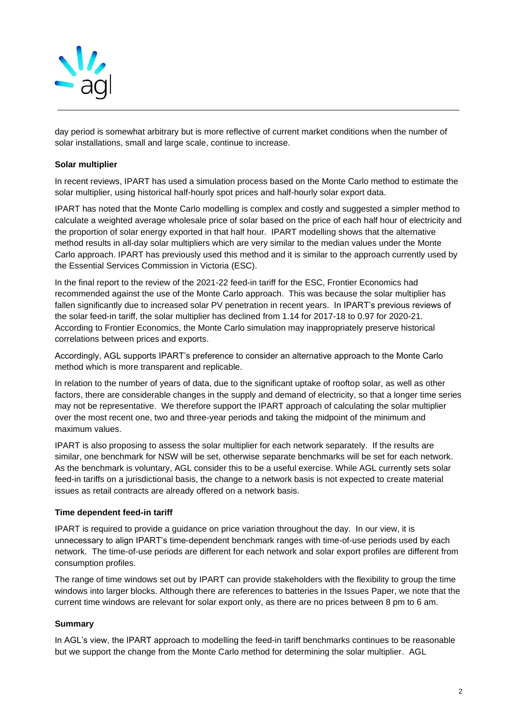

day period is somewhat arbitrary but is more reflective of current market conditions when the number of solar installations, small and large scale, continue to increase.

## **Solar multiplier**

In recent reviews, IPART has used a simulation process based on the Monte Carlo method to estimate the solar multiplier, using historical half-hourly spot prices and half-hourly solar export data.

IPART has noted that the Monte Carlo modelling is complex and costly and suggested a simpler method to calculate a weighted average wholesale price of solar based on the price of each half hour of electricity and the proportion of solar energy exported in that half hour. IPART modelling shows that the alternative method results in all-day solar multipliers which are very similar to the median values under the Monte Carlo approach. IPART has previously used this method and it is similar to the approach currently used by the Essential Services Commission in Victoria (ESC).

In the final report to the review of the 2021-22 feed-in tariff for the ESC, Frontier Economics had recommended against the use of the Monte Carlo approach. This was because the solar multiplier has fallen significantly due to increased solar PV penetration in recent years. In IPART's previous reviews of the solar feed-in tariff, the solar multiplier has declined from 1.14 for 2017-18 to 0.97 for 2020-21. According to Frontier Economics, the Monte Carlo simulation may inappropriately preserve historical correlations between prices and exports.

Accordingly, AGL supports IPART's preference to consider an alternative approach to the Monte Carlo method which is more transparent and replicable.

In relation to the number of years of data, due to the significant uptake of rooftop solar, as well as other factors, there are considerable changes in the supply and demand of electricity, so that a longer time series may not be representative. We therefore support the IPART approach of calculating the solar multiplier over the most recent one, two and three-year periods and taking the midpoint of the minimum and maximum values.

IPART is also proposing to assess the solar multiplier for each network separately. If the results are similar, one benchmark for NSW will be set, otherwise separate benchmarks will be set for each network. As the benchmark is voluntary, AGL consider this to be a useful exercise. While AGL currently sets solar feed-in tariffs on a jurisdictional basis, the change to a network basis is not expected to create material issues as retail contracts are already offered on a network basis.

### **Time dependent feed-in tariff**

IPART is required to provide a guidance on price variation throughout the day. In our view, it is unnecessary to align IPART's time-dependent benchmark ranges with time-of-use periods used by each network. The time-of-use periods are different for each network and solar export profiles are different from consumption profiles.

The range of time windows set out by IPART can provide stakeholders with the flexibility to group the time windows into larger blocks. Although there are references to batteries in the Issues Paper, we note that the current time windows are relevant for solar export only, as there are no prices between 8 pm to 6 am.

# **Summary**

In AGL's view, the IPART approach to modelling the feed-in tariff benchmarks continues to be reasonable but we support the change from the Monte Carlo method for determining the solar multiplier. AGL